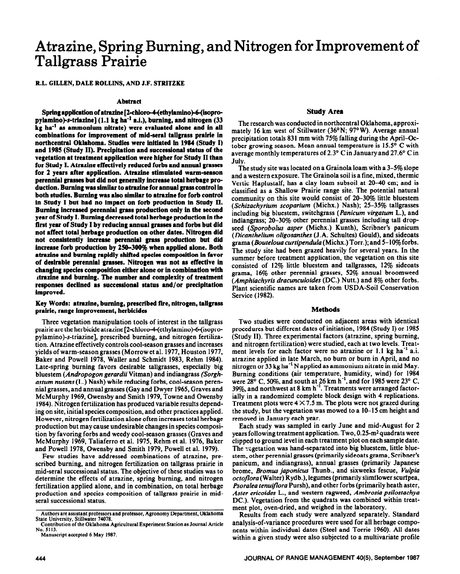# **Atrazine, Spring Burning, and Nitrogen for Improvement of Tallgrass Prairie**

ILL. GILLEN, DALE ROLLINS, AND J.F. STRITZKE

# **Abstract**

Spring application of atrazine [2-chloro-4-(ethylamino)-6-(isopropylamino)-s-triazine] (1.1 kg ha<sup>-1</sup> a.i.), burning, and nitrogen (33 **kg ha" as ammonium nitrate) were evaluated alone and in all combinations for improvement of mid-seral** tailgrass prairie **in northcentral Oklahoma. Studies were initiated in 1984 (Study** I) **and 1985 (Study II). Precipitation and successional status of the vegetation at treatment application were higher for Study** II than **for Study I. Atrazine effectively reduced forbs** and **annual grasses**  for 2 years after application. Atrazine stimulated warm-season perennial grasses but did not generally increase total herbage **pro**duction. Burning was similar to atrazine for annual grass control in **both studies. Burning was also similar to** atrazine **for forb control in Study I but** had **no impact on forb production in Study II. Burning increased perennial grass production only in the second year of Study I. Burning decreased total herbage production in the** first year of Study I by reducing annual grasses and forbs but did not affect total herbage production on other dates. Nitrogen did **not consistently increase perennial grass production but did increase forb production by 258-388% when applied** alone. **Both**  atrazine and burning rapidly shifted species composition in favor **of desirable perennial grasses. Nitrogen was not as effective ln**  changing species composition either alone or in combination with **&azine and burning. The number and complexity of treatment responses declined** as successional **status and/or precipitation improved.** 

# **Key Words:** l **trazine, burning, prescribed fire, nitrogen, tallgrass**  prairie, range improvement, herbicides

Three vegetation manipulation tools of interest in the tallgrass prairie are the herbicide atrazine [2-chloro-4-(ethylamino)-6-(isopropylamino)-s-triazine], prescribed burning, and nitrogen fertilization. Atrazine effectively controls cool-season grasses and increases yields of warm-season grasses (Morrow et al. 1977, Houston 1977, Baker and Powell 1978, Waller and Schmidt 1983, Rehm 1984). Late-spring burning favors desirable tallgrasses, especially big bluestem *(Andropogon gerardii* Vitman) and indiangrass *(Sorghastum nutans* (L.) Nash) while reducing forbs, cool-season perennial grasses, and annual grasses (Gay and Dwyer 1965, Graves and McMurphy 1969, Owensby and Smith 1979, Towne and Owensby 1984). Nitrogen fertilization has produced variable results depending on site, initial species composition, and other practices applied. However, nitrogen fertilization alone often increases total herbage production but may cause undesirable changes in species composition by favoring forbs and weedy cool-season grasses (Graves and McMurphy 1969, Taliaferro et al. 1975, Rehm et al. 1976, Baker and Powell 1978, Owensby and Smith 1979, Powell et al. 1979).

Few studies have addressed combinations of atrazine, prescribed burning, and nitrogen fertilization on tallgrass prairie in mid-seral successional status. The objective of these studies was to determine the effects of atrazine, spring burning, and nitrogen fertilization applied alone, and in combination, on total herbage production and species composition of tallgrass prairie in midseral successional status.

**The** research was conducted in northcentral Oklahoma, approximately 16 km west of Stillwater (36°N; 97°W). Average annual precipitation totals 831 mm with 75% falling during the April-October growing season. Mean annual temperature is 15.5" C with average monthly temperatures of  $2.3^{\circ}$  C in January and  $27.6^{\circ}$  C in July.

The study site was located on a Grainola loam with a 3-5% slope and a western exposure. The Grainola soil is a fine, mixed, thermic Vertic Haplustalf; has a clay loam subsoil at 20-40 cm; and is classified as a Shallow Prairie range site. The potential natural community on this site would consist of 20-30% little bluestem (Schizachyrium scoparium (Michx.) Nash); 25-35% tallgrasses including big bluestem, switchgrass *(Panicum virgatum* L.), and indiangrass; 20-30% other perennial grasses including tall dropseed *(Sporobolus asper* (Michx.) Kunth), Scribner's panicum *(Dicanthelium oligosanthes* (J.A. Schultes) Gould), and sideoats grama *(Bouteloua curtipendula* (Michx.) Torr.); and 5-IO% forbs. The study site had been grazed heavily for several years. In the summer before treatment application, the vegetation on this site consisted of 12% little bluestem and tallgrasses, 12% sideoats grama, 16% other perennial grasses, 52% annual broomweed *(Amphiachyris dracunculoides* (DC.) Nutt.) and 8% other forbs. Plant scientific names are taken from USDA-Soil Conservation Service (1982).

#### **Methods**

Two studies were conducted on adjacent areas with identical procedures but different dates of initiation, 1984 (Study I) or 1985 (Study II). Three experimental factors (atrazine, spring burning, and nitrogen fertilization) were studied, each at two levels. Treatment levels for each factor were no atrazine or 1.1 kg ha<sup>-1</sup> a.i. atrazine applied in late March, no bum or burn in April, and no nitrogen or 33 kg ha<sup>-1</sup> N applied as ammonium nitrate in mid May. Burning conditions (air temperature, humidity, wind) for 1984 were  $28^{\circ}$  C, 50%, and south at 26 km h<sup>-1</sup>, and for 1985 were 23° C, 39%, and northwest at 8 km h-l. Treatments were arranged factorially in a randomized complete block design with 4 replications. Treatment plots were  $4 \times 7.5$  m. The plots were not grazed during the study, but the vegetation was mowed to a IO-15 cm height and removed in January each year.

Each study was sampled in early June and mid-August for 2 years following treatment application. Two, 0.25-m<sup>2</sup> quadrats were clipped to ground level in each treatment plot on each sample date. The vegetation was hand-separated into big bluestem, little bluestem, other perennial grasses (primarily sideoats grama, Scribner's panicum, and indiangrass), annual grasses (primarily Japanese brome, Bromus *japonicus* Thunb., and sixweeks fescue, *Vulpia octofora* (Walter) Rydb.), legumes (primarily slimflower scurfpea, *Psoralea tenuiflora* Pursh), and other forbs (primarily heath aster, *Aster ericoides* L., and western ragweed, *Ambrosia psilostachya*  DC,). Vegetation from the quadrats was combined within treatment plot, oven-dried, and weighed in the laboratory.

Results from each study were analyzed separately. Standard analysis-of-variance procedures were used for all herbage components within individual dates (Steel and Torrie 1960). All dates within a given study were also subjected to a multivariate profile

**Authors are assistant professors and professor, Agronomy Department, Oklahoma State University, Stillwatcr 74078.** 

**Contribution of the Oklahoma Agricultural Experiment Station as Journal Article No. 5113.** 

**Manuscript accepted 6 May 1987.**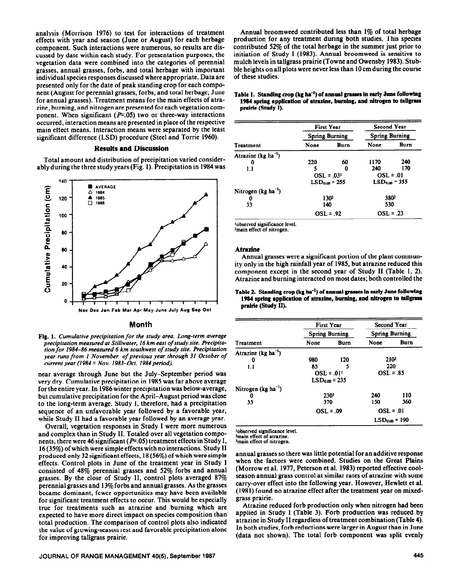analysis (Morrison 1976) to test for interactions of treatment effects with year and season (June or August) for each herbage component. Such interactions were numerous, so results are discussed by date within each study. For presentation purposes, the vegetation data were combined into the categories of perennial grasses, annual grasses, forbs, and total herbage with important individual species responses discussed where appropriate. Data are presented only for the date of peak standing crop for each component (August for perennial grasses, forbs, and total herbage; June for annual grasses). Treatment means for the main effects of atrazine, burning, and nitrogen are presented for each vegetation component. When significant ( $P=0.05$ ) two or three-way interactions occurred, interaction means are presented in place of the respective main effect means. Interaction means were separated by the least significant difference (LSD) procedure (Steel and Torrie 1960).

# **Results and Discussion**

Total amount and distribution of precipitation varied considerably during the three study years (Fig. 1). Precipitation in 1984 was



### **Month**

Fig. 1. Cumulative precipitation for the study area. Long-term average *precipitation measured at Stillwater, 16 km east of study site.* Precipita*tion for 1984-86 measured 6 km southwest of study site. Precipitation year runs from I November of previous year through 31 October of current year (1984 = Nov. 1983–Oct. 1984 period).* 

near average through June but the July-September period was very dry. Cumulative precipitation in 1985 was far above average for the entire year. In 1986 winter precipitation was below-average, but cumulative precipitation for the April-August period was close to the long-term average. Study I, therefore, had a precipitation sequence of an unfavorable year followed by a favorable year, while Study II had a favorable year followed by an average year.

Overall, vegetation responses in Study I were more numerous and complex than in Study II. Totaled over all vegetation components, there were 46 significant ( $P=0.05$ ) treatment effects in Study I, 16 (35%) of which were simple effects with no interactions. Study II produced only 32 significant effects, 18 (56%) of which were simple effects. Control plots in June of the treatment year in Study I consisted of 48% perennial grasses and 52% forbs and annual grasses. By the close of Study II, control plots averaged 87% perennial grasses and 13%forbs and annual grasses. As the grasses became dominant, fewer opportunities may have been available for significant treatment effects to occur. This would be especially true for treatments such as atrazine and burning which are expected to have more direct impact on species composition than total production. The comparison of control plots also indicated the value of growing-season rest and favorable precipitation alone for improving tallgrass prairie.

### **JOURNAL OF RANGE MANAGEMENT 40(5), September 1987 445**

Annual broomweed contributed less than 1% of total herbage production for any treatment during both studies. This species contributed 52% of the total herbage in the summer just prior to initiation of Study I (1983). Annual broomweed is sensitive to mulch levels in tallgrass prairie (Towne and Owensby 1983). Stubble heights on all plots were never less than 10 cm during the course of these studies.

Table 1. Standing crop (kg ha<sup>-1</sup>) of annual grasses in early June following **1984 spring application of atrazine, burning, and nitrogen to tallgrass prairie (study I).** 

|                                 |                | <b>First Year</b>     | Second Year<br><b>Spring Burning</b> |                  |  |
|---------------------------------|----------------|-----------------------|--------------------------------------|------------------|--|
|                                 |                | <b>Spring Burning</b> |                                      |                  |  |
| Treatment                       | None           | Burn                  | None                                 | Burn             |  |
| Atrazine (kg ha <sup>-1</sup> ) |                |                       |                                      |                  |  |
| 0                               | 220            | 60                    | 1170                                 | 240              |  |
| 1.1                             |                | o                     | 240                                  | 170              |  |
|                                 | $OSL = .031$   |                       | $OSL = .01$                          |                  |  |
|                                 | $LSDons = 255$ |                       | $LSD0.06 = 355$                      |                  |  |
| Nitrogen $(kg ha^{-1})$         |                |                       |                                      |                  |  |
| o                               |                | 1302                  |                                      | 380 <sup>2</sup> |  |
| 33                              | 140            |                       | 530                                  |                  |  |
|                                 |                | $OSL = .92$           | $OSL = .23$                          |                  |  |

**'observed significance level.**  <sup>2</sup>main effect of nitrogen.

# Atrazine

Annual grasses were a significant portion of the plant community only in the high rainfall year of 1985, but atrazine reduced this component except in the second year of Study II (Table 1, 2). Atrazine and burning interacted on most dates; both controlled the

# Table 2. Standing crop (kg ha<sup>-1</sup>) of annual grasses in early June following 1984 spring application of atrazine, burning, and nitrogen to tallgrass **prdrie (Study II).**

|                                 |                       | <b>First Year</b> | <b>Second Year</b> |                       |  |
|---------------------------------|-----------------------|-------------------|--------------------|-----------------------|--|
|                                 | <b>Spring Burning</b> |                   |                    | <b>Spring Burning</b> |  |
| Treatment                       | None                  | Burn              | None               | Burn                  |  |
| Atrazine (kg ha <sup>-1</sup> ) |                       |                   |                    |                       |  |
| 0                               | 980                   | 120               | 2102               |                       |  |
| 1.1                             | 85                    | 5                 |                    | 220                   |  |
|                                 | $OSL = .011$          |                   | $OSL = .85$        |                       |  |
|                                 |                       | $LSD0.05 = 235$   |                    |                       |  |
| Nitrogen $(\text{kg ha}^{-1})$  |                       |                   |                    |                       |  |
| 0                               |                       | 2303              | 240                | 110                   |  |
| 33                              | 370                   |                   | 150                | 360                   |  |
|                                 |                       | $OSL = .09$       | $OSL = .01$        |                       |  |
|                                 |                       |                   |                    | $LSD0.05 = 190$       |  |

<sup>1</sup>observed significance level.

**\*main effect of atrazine.** 

**hain effect of nitrogen.** 

annual grasses so there was little potential for an additive response **when the factors were combined. Studies on the Great Plains (Morrow et al. 1977, Peterson et al. 1983) reported effective coolseason annual grass control at similar rates of atrazine with some carry-over effect into the following year. However, Hewlett et al. (1981) found no atrazine effect after the treatment year on mixedgrass prairie.** 

**Atrazine reduced forb production only when nitrogen had been applied in Study I (Table 3). Forb production was reduced by atrazine in Study II regardless of treatment combination (Table 4). In both studies, forb reductions were larger in August than in June (data not shown). The total forb component was split evenly**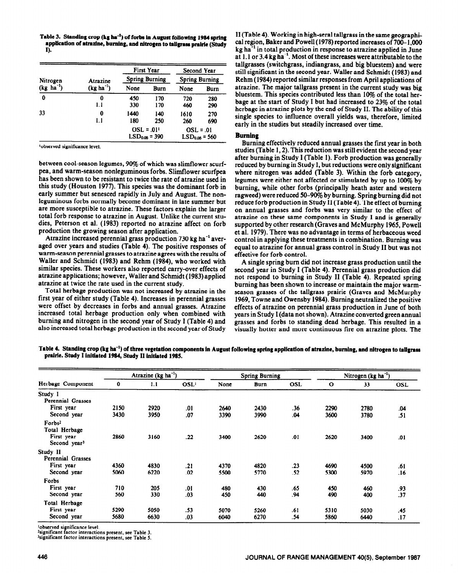Table 3. Standing crop (kg ha<sup>-1</sup>) of forbs in August following 1984 spring application of atrazine, burning, and nitrogen to tallgrass prairie (Study **I).** 

|                |                |              | First Year            |                       | Second Year |
|----------------|----------------|--------------|-----------------------|-----------------------|-------------|
| Nitrogen       | Atrazine       |              | <b>Spring Burning</b> | <b>Spring Burning</b> |             |
| $(kg ha^{-1})$ | $(kg ha^{-1})$ | None         | Burn                  | None                  | Burn        |
| 0              | 0              | 450          | 170                   | 720                   | 280         |
|                | 1.1            | 330          | 170                   | 460                   | 290         |
| 33             | 0              | 1440         | 140                   | 1610                  | 270         |
|                | 1.1            | 180          | 250                   | 260                   | 690         |
|                |                | $OSL = .01T$ |                       | $OSL = .01$           |             |
|                |                |              | $LSD0.06 = 390$       | $LSD0.05 = 560$       |             |

**'observed significance level.** 

between cool-season legumes, 90% of which was slimflower scurfpea, and warm-season nonleguminous forbs. Slimflower scurfpea has been shown to be resistant to twice the rate of atrazine used in this study (Houston 1977). This species was the dominant forb in early summer but senesced rapidly in July and August. The nonleguminous forbs normally become dominant in late summer but are more susceptible to atrazine. These factors explain the larger total forb response to atrazine in August. Unlike the current studies, Peterson et al. (1983) reported no atrazine affect on forb production the growing season after application.

Atrazine increased perennial grass production 730 kg ha<sup>-1</sup> averaged over years and studies (Table 4). The positive responses of warm-season perennial grasses to atrazine agrees with the results of Waller and Schmidt (1983) and Rehm (1984), who worked with similar species. These workers also reported carry-over effects of atrazine applications; however, Waller and Schmidt (1983) applied atrazine at twice the rate used in the current study.

Total herbage production was not increased by atrazine in the first year of either study (Table 4). Increases in perennial grasses were offset by decreases in forbs and annual grasses. Atrazine increased total herbage production only when combined with burning and nitrogen in the second year of Study I (Table 4) and also increased total herbage production in the second year of Study

II (Table 4). Working in high-seral tallgrass in the same geographical region, Baker and Powell (1978) reported increases of 700- 1,000 kg ha<sup>-1</sup> in total production in response to atrazine applied in June at 1.1 or 3.4 kg ha<sup>-1</sup>. Most of these increases were attributable to the tallgrasses (switchgrass, indiangrass, and big bluestem) and were still significant in the second year. Waller and Schmidt (1983) and Rehm (1984) reported similar responses from April applications of atrazine. The major tallgrass present in the current study was big bluestem. This species contributed less than 10% of the total herbage at the start of Study I but had increased to 23% of the total herbage in atrazine plots by the end of Study II. The ability of this single species to influence overall yields was, therefore, limited early in the studies but steadily increased over time.

# **Burning**

Burning effectively reduced annual grasses the first year in both studies (Table 1,2). This reduction was still evident the second year after burning in Study I (Table 1). Forb production was generally reduced by burning in Study I, but reductions were only significant where nitrogen was added (Table 3). Within the forb category, legumes were either not affected or stimulated by up to 100% by burning, while other forbs (principally heath aster and western ragweed) were reduced SO-9% by burning. Spring burning did not reduce forb production in Study II (Table 4). The effect of burning on annual grasses and forbs was very similar to the effect of atrazine on these same components in Study I and is generally supported by other research (Graves and McMurphy 1965, Powell et al. 1979). There was no advantage in terms of herbaceous weed control in applying these treatments in combination. Burning was equal to atrazine for annual grass control in Study II but was not effective for forb control.

A single spring bum did not increase grass production until the second year in Study I (Table 4). Perennial grass production did not respond to burning in Study II (Table 4). Repeated spring burning has been shown to increase or maintain the major warmseason grasses of the tallgrass prairie (Graves and McMurphy 1969, Towne and Owensby 1984). Burning neutralized the positive effects of atrazine on perennial grass production in June of both years in Study I (data not shown). Atrazine converted green annual grasses and forbs to standing dead herbage. This resulted in a visually hotter and more continuous fire on atrazine plots. The

Table 4. Standing crop (kg ha<sup>-1</sup>) of three vegetation components in August following spring application of atrazine, burning, and nitrogen to tallgrass **prairie. Study** I inhiated 1984, **Study I1 initiated 1985.** 

|                          |      | Atrazine (kg ha <sup>-1</sup> ) |                  |      | <b>Spring Burning</b> |            |              | Nitrogen ( $kg$ ha <sup>-1</sup> ) |            |
|--------------------------|------|---------------------------------|------------------|------|-----------------------|------------|--------------|------------------------------------|------------|
| Herbage Component        | 0    | 1.1                             | OSL <sup>1</sup> | None | Burn                  | <b>OSL</b> | $\mathbf{o}$ | 33                                 | <b>OSL</b> |
| Study I                  |      |                                 |                  |      |                       |            |              |                                    |            |
| Perennial Grasses        |      |                                 |                  |      |                       |            |              |                                    |            |
| First year               | 2150 | 2920                            | .01              | 2640 | 2430                  | .36        | 2290         | 2780                               | .04        |
| Second year              | 3430 | 3950                            | .07              | 3390 | 3990                  | .04        | 3600         | 3780                               | .51        |
| Forbs <sup>2</sup>       |      |                                 |                  |      |                       |            |              |                                    |            |
| Total Herbage            |      |                                 |                  |      |                       |            |              |                                    |            |
| First year               | 2860 | 3160                            | .22              | 3400 | 2620                  | .01        | 2620         | 3400                               | .01        |
| Second year <sup>3</sup> |      |                                 |                  |      |                       |            |              |                                    |            |
| Study II                 |      |                                 |                  |      |                       |            |              |                                    |            |
| Perennial Grasses        |      |                                 |                  |      |                       |            |              |                                    |            |
| First year               | 4360 | 4830                            | .21              | 4370 | 4820                  | .23        | 4690         | 4500                               | .61        |
| Second year              | 5060 | 6220                            | .02              | 5500 | 5770                  | .52        | 5300         | 5970                               | .16        |
| Forbs                    |      |                                 |                  |      |                       |            |              |                                    |            |
| First year               | 710  | 205                             | .01              | 480  | 430                   | .65        | 450          | 460                                | .93        |
| Second year              | 560  | 330                             | .03              | 450  | 440                   | .94        | 490          | 400                                | .37        |
| Total Herbage            |      |                                 |                  |      |                       |            |              |                                    |            |
| First year               | 5290 | 5050                            | .53              | 5070 | 5260                  | .61        | 5310         | 5030                               | .45        |
| Second year              | 5680 | 6630                            | .03              | 6040 | 6270                  | .54        | 5860         | 6440                               | .17        |

**'observed significance level.** 

<sup>2</sup>significant factor interactions present, see Table 3

**%ignificant factor interactions present, see Table 5.**